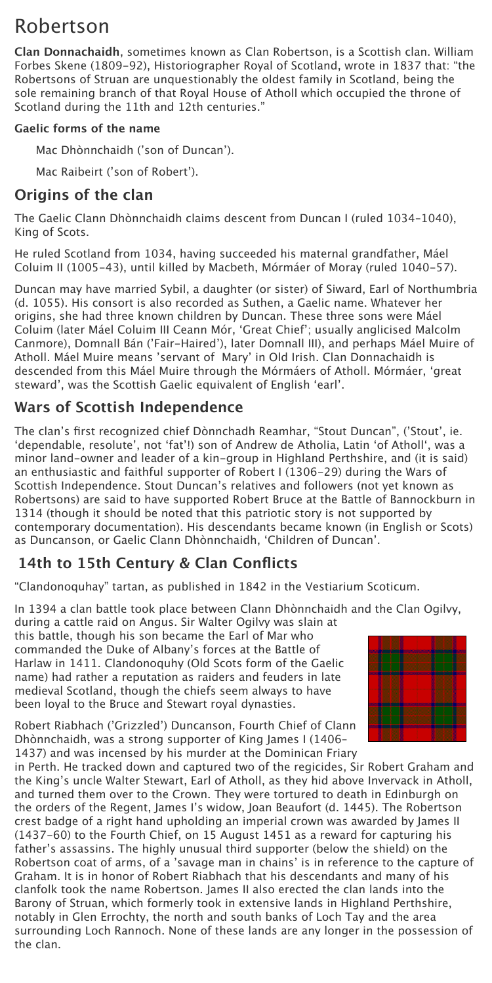# Robertson

**Clan Donnachaidh**, sometimes known as Clan Robertson, is a Scottish clan. William Forbes Skene (1809-92), Historiographer Royal of Scotland, wrote in 1837 that: "the Robertsons of Struan are unquestionably the oldest family in Scotland, being the sole remaining branch of that Royal House of Atholl which occupied the throne of Scotland during the 11th and 12th centuries."

#### **Gaelic forms of the name**

Mac Dhònnchaidh ('son of Duncan').

Mac Raibeirt ('son of Robert').

#### **Origins of the clan**

The Gaelic Clann Dhònnchaidh claims descent from Duncan I (ruled 1034–1040), King of Scots.

He ruled Scotland from 1034, having succeeded his maternal grandfather, Máel Coluim II (1005-43), until killed by Macbeth, Mórmáer of Moray (ruled 1040-57).

Duncan may have married Sybil, a daughter (or sister) of Siward, Earl of Northumbria (d. 1055). His consort is also recorded as Suthen, a Gaelic name. Whatever her origins, she had three known children by Duncan. These three sons were Máel Coluim (later Máel Coluim III Ceann Mór, 'Great Chief'; usually anglicised Malcolm Canmore), Domnall Bán ('Fair-Haired'), later Domnall III), and perhaps Máel Muire of Atholl. Máel Muire means 'servant of Mary' in Old Irish. Clan Donnachaidh is descended from this Máel Muire through the Mórmáers of Atholl. Mórmáer, 'great steward', was the Scottish Gaelic equivalent of English 'earl'.

#### **Wars of Scottish Independence**

The clan's first recognized chief Dònnchadh Reamhar, "Stout Duncan", ('Stout', ie. 'dependable, resolute', not 'fat'!) son of Andrew de Atholia, Latin 'of Atholl', was a minor land-owner and leader of a kin-group in Highland Perthshire, and (it is said) an enthusiastic and faithful supporter of Robert I (1306-29) during the Wars of Scottish Independence. Stout Duncan's relatives and followers (not yet known as Robertsons) are said to have supported Robert Bruce at the Battle of Bannockburn in 1314 (though it should be noted that this patriotic story is not supported by contemporary documentation). His descendants became known (in English or Scots) as Duncanson, or Gaelic Clann Dhònnchaidh, 'Children of Duncan'.

## **14th to 15th Century & Clan Conflicts**

"Clandonoquhay" tartan, as published in 1842 in the Vestiarium Scoticum.

In 1394 a clan battle took place between Clann Dhònnchaidh and the Clan Ogilvy,

during a cattle raid on Angus. Sir Walter Ogilvy was slain at this battle, though his son became the Earl of Mar who commanded the Duke of Albany's forces at the Battle of Harlaw in 1411. Clandonoquhy (Old Scots form of the Gaelic name) had rather a reputation as raiders and feuders in late medieval Scotland, though the chiefs seem always to have been loyal to the Bruce and Stewart royal dynasties.





Robert Riabhach ('Grizzled') Duncanson, Fourth Chief of Clann Dhònnchaidh, was a strong supporter of King James I (1406–

1437) and was incensed by his murder at the Dominican Friary



in Perth. He tracked down and captured two of the regicides, Sir Robert Graham and the King's uncle Walter Stewart, Earl of Atholl, as they hid above Invervack in Atholl, and turned them over to the Crown. They were tortured to death in Edinburgh on the orders of the Regent, James I's widow, Joan Beaufort (d. 1445). The Robertson crest badge of a right hand upholding an imperial crown was awarded by James II (1437-60) to the Fourth Chief, on 15 August 1451 as a reward for capturing his father's assassins. The highly unusual third supporter (below the shield) on the Robertson coat of arms, of a 'savage man in chains' is in reference to the capture of Graham. It is in honor of Robert Riabhach that his descendants and many of his clanfolk took the name Robertson. James II also erected the clan lands into the Barony of Struan, which formerly took in extensive lands in Highland Perthshire, notably in Glen Errochty, the north and south banks of Loch Tay and the area surrounding Loch Rannoch. None of these lands are any longer in the possession of the clan.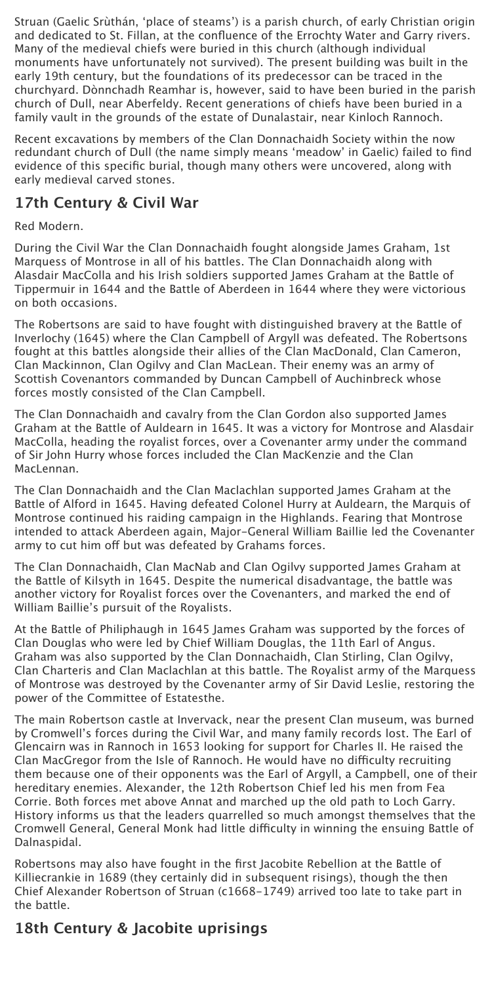Struan (Gaelic Srùthán, 'place of steams') is a parish church, of early Christian origin and dedicated to St. Fillan, at the confluence of the Errochty Water and Garry rivers. Many of the medieval chiefs were buried in this church (although individual monuments have unfortunately not survived). The present building was built in the early 19th century, but the foundations of its predecessor can be traced in the churchyard. Dònnchadh Reamhar is, however, said to have been buried in the parish church of Dull, near Aberfeldy. Recent generations of chiefs have been buried in a family vault in the grounds of the estate of Dunalastair, near Kinloch Rannoch.

Recent excavations by members of the Clan Donnachaidh Society within the now redundant church of Dull (the name simply means 'meadow' in Gaelic) failed to find evidence of this specific burial, though many others were uncovered, along with early medieval carved stones.

### **17th Century & Civil War**

Red Modern.

During the Civil War the Clan Donnachaidh fought alongside James Graham, 1st Marquess of Montrose in all of his battles. The Clan Donnachaidh along with Alasdair MacColla and his Irish soldiers supported James Graham at the Battle of Tippermuir in 1644 and the Battle of Aberdeen in 1644 where they were victorious on both occasions.

The Robertsons are said to have fought with distinguished bravery at the Battle of Inverlochy (1645) where the Clan Campbell of Argyll was defeated. The Robertsons fought at this battles alongside their allies of the Clan MacDonald, Clan Cameron, Clan Mackinnon, Clan Ogilvy and Clan MacLean. Their enemy was an army of Scottish Covenantors commanded by Duncan Campbell of Auchinbreck whose forces mostly consisted of the Clan Campbell.

The Clan Donnachaidh and cavalry from the Clan Gordon also supported James Graham at the Battle of Auldearn in 1645. It was a victory for Montrose and Alasdair MacColla, heading the royalist forces, over a Covenanter army under the command of Sir John Hurry whose forces included the Clan MacKenzie and the Clan MacLennan.

The Clan Donnachaidh and the Clan Maclachlan supported James Graham at the Battle of Alford in 1645. Having defeated Colonel Hurry at Auldearn, the Marquis of Montrose continued his raiding campaign in the Highlands. Fearing that Montrose intended to attack Aberdeen again, Major-General William Baillie led the Covenanter army to cut him off but was defeated by Grahams forces.

The Clan Donnachaidh, Clan MacNab and Clan Ogilvy supported James Graham at the Battle of Kilsyth in 1645. Despite the numerical disadvantage, the battle was another victory for Royalist forces over the Covenanters, and marked the end of William Baillie's pursuit of the Royalists.

At the Battle of Philiphaugh in 1645 James Graham was supported by the forces of Clan Douglas who were led by Chief William Douglas, the 11th Earl of Angus. Graham was also supported by the Clan Donnachaidh, Clan Stirling, Clan Ogilvy, Clan Charteris and Clan Maclachlan at this battle. The Royalist army of the Marquess of Montrose was destroyed by the Covenanter army of Sir David Leslie, restoring the power of the Committee of Estatesthe.

The main Robertson castle at Invervack, near the present Clan museum, was burned by Cromwell's forces during the Civil War, and many family records lost. The Earl of Glencairn was in Rannoch in 1653 looking for support for Charles II. He raised the Clan MacGregor from the Isle of Rannoch. He would have no difficulty recruiting them because one of their opponents was the Earl of Argyll, a Campbell, one of their hereditary enemies. Alexander, the 12th Robertson Chief led his men from Fea Corrie. Both forces met above Annat and marched up the old path to Loch Garry. History informs us that the leaders quarrelled so much amongst themselves that the Cromwell General, General Monk had little difficulty in winning the ensuing Battle of Dalnaspidal.

Robertsons may also have fought in the first Jacobite Rebellion at the Battle of Killiecrankie in 1689 (they certainly did in subsequent risings), though the then Chief Alexander Robertson of Struan (c1668-1749) arrived too late to take part in the battle.

#### **18th Century & Jacobite uprisings**